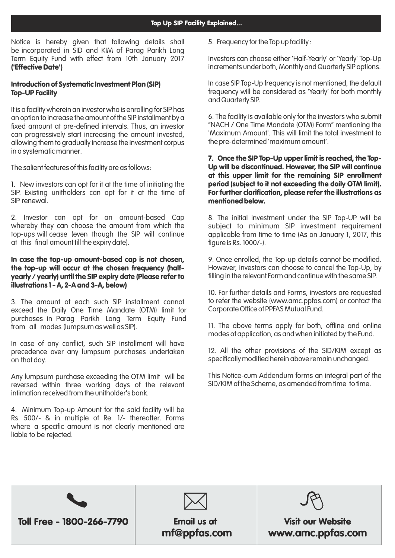Notice is hereby given that following details shall be incorporated in SID and KIM of Parag Parikh Long Term Equity Fund with effect from 10th January 2017 ('Effective Date')

## Introduction of Systematic Investment Plan (SIP) Top-UP Facility

It is a facility wherein an investor who is enrolling for SIP has an option to increase the amount of the SIP installment by a fixed amount at pre-defined intervals. Thus, an investor can progressively start increasing the amount invested, allowing them to gradually increase the investment corpus in a systematic manner.

The salient features of this facility are as follows:

1. New investors can opt for it at the time of initiating the SIP. Existing unitholders can opt for it at the time of SIP renewal.

2. Investor can opt for an amount-based Cap whereby they can choose the amount from which the top-ups will cease (even though the SIP will continue at this final amount till the expiry date).

### In case the top-up amount-based cap is not chosen, the top-up will occur at the chosen frequency (halfyearly / yearly) until the SIP expiry date (Please refer to illustrations 1 - A, 2-A and 3-A, below)

3. The amount of each such SIP installment cannot exceed the Daily One Time Mandate (OTM) limit for purchases in Parag Parikh Long Term Equity Fund from all modes (lumpsum as well as SIP).

In case of any conflict, such SIP installment will have precedence over any lumpsum purchases undertaken on that day.

Any lumpsum purchase exceeding the OTM limit will be reversed within three working days of the relevant intimation received from the unitholder's bank.

4. Minimum Top-up Amount for the said facility will be Rs. 500/- & in multiple of Re. 1/- thereafter. Forms where a specific amount is not clearly mentioned are liable to be rejected.

5. Frequency for the Top up facility :

Investors can choose either 'Half-Yearly' or 'Yearly' Top-Up increments under both, Monthly and Quarterly SIP options.

In case SIP Top-Up frequency is not mentioned, the default frequency will be considered as 'Yearly' for both monthly and Quarterly SIP.

The facility is available only for the investors who submit 6. "NACH / One Time Mandate (OTM) Form" mentioning the 'Maximum Amount'. This will limit the total investment to the pre-determined 'maximum amount'.

### 7. Once the SIP Top-Up upper limit is reached, the Top-Up will be discontinued. However, the SIP will continue at this upper limit for the remaining SIP enrollment period (subject to it not exceeding the daily OTM limit). For further clarification, please refer the illustrations as mentioned below.

The initial investment under the SIP Top-UP will be 8. subject to minimum SIP investment requirement applicable from time to time (As on January 1, 2017, this figure is Rs. 1000/-).

9. Once enrolled, the Top-up details cannot be modified. However, investors can choose to cancel the Top-Up, by filling in the relevant Form and continue with the same SIP.

10. For further details and Forms, investors are requested to refer the website (www.amc.ppfas.com) or contact the Corporate Office of PPFAS Mutual Fund.

11. The above terms apply for both, offline and online modes of application, as and when initiated by the Fund.

12. All the other provisions of the SID/KIM except as specifically modified herein above remain unchanged.

This Notice-cum Addendum forms an integral part of the SID/KIM of the Scheme, as amended from time to time.





# mf@ppfas.com

Visit our Website www.amc.ppfas.com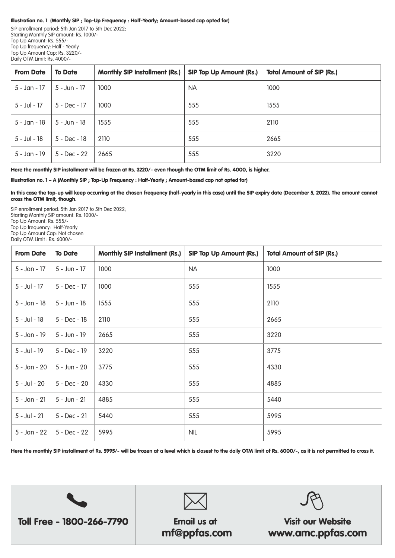#### Illustration no. 1 (Monthly SIP ; Top-Up Frequency : Half-Yearly; Amount-based cap opted for)

SIP enrollment period: 5th Jan 2017 to 5th Dec 2022; Starting Monthly SIP amount: Rs. 1000/- Top Up Amount: Rs. 555/- Top Up frequency: Half - Yearly Top Up Amount Cap: Rs. 3220/- Daily OTM Limit: Rs. 4000/-

| <b>From Date</b> | <b>To Date</b> | <b>Monthly SIP Installment (Rs.)</b> | <b>SIP Top Up Amount (Rs.)</b> | <b>Total Amount of SIP (Rs.)</b> |
|------------------|----------------|--------------------------------------|--------------------------------|----------------------------------|
| 5 - Jan - 17     | 5 - Jun - 17   | 1000                                 | <b>NA</b>                      | 1000                             |
| 5 - Jul - 17     | $5 - Dec - 17$ | 1000                                 | 555                            | 1555                             |
| 5 - Jan - 18     | $5 - Jun - 18$ | 1555                                 | 555                            | 2110                             |
| $5 -$ Jul - 18   | $5 - Dec - 18$ | 2110                                 | 555                            | 2665                             |
| 5 - Jan - 19     | 5 - Dec - 22   | 2665                                 | 555                            | 3220                             |

Here the monthly SIP installment will be frozen at Rs. 3220/- even though the OTM limit of Rs. 4000, is higher.

Illustration no. 1 – A (Monthly SIP ; Top-Up Frequency : Half-Yearly ; Amount-based cap not opted for)

In this case the top-up will keep occurring at the chosen frequency (half-yearly in this case) until the SIP expiry date (December 5, 2022). The amount cannot cross the OTM limit, though.

SIP enrollment period: 5th Jan 2017 to 5th Dec 2022; Starting Monthly SIP amount: Rs. 1000/- Top Up Amount: Rs. 555/- Top Up frequency: Half-Yearly Top Up Amount Cap: Not chosen Daily OTM Limit : Rs. 6000/-

| <b>From Date</b> | <b>To Date</b> | <b>Monthly SIP Installment (Rs.)</b> | <b>SIP Top Up Amount (Rs.)</b> | <b>Total Amount of SIP (Rs.)</b> |
|------------------|----------------|--------------------------------------|--------------------------------|----------------------------------|
| 5 - Jan - 17     | 5 - Jun - 17   | 1000                                 | <b>NA</b>                      | 1000                             |
| 5 - Jul - 17     | 5 - Dec - 17   | 1000                                 | 555                            | 1555                             |
| $5 - Jan - 18$   | $5 - Jun - 18$ | 1555                                 | 555                            | 2110                             |
| $5 -$ Jul - 18   | 5 - Dec - 18   | 2110                                 | 555                            | 2665                             |
| 5 - Jan - 19     | 5 - Jun - 19   | 2665                                 | 555                            | 3220                             |
| 5 - Jul - 19     | 5 - Dec - 19   | 3220                                 | 555                            | 3775                             |
| 5 - Jan - 20     | 5 - Jun - 20   | 3775                                 | 555                            | 4330                             |
| $5 -$ Jul - 20   | 5 - Dec - 20   | 4330                                 | 555                            | 4885                             |
| $5 - Jan - 21$   | $5 - Jun - 21$ | 4885                                 | 555                            | 5440                             |
| $5 -$ Jul - 21   | $5 - Dec - 21$ | 5440                                 | 555                            | 5995                             |
| 5 - Jan - 22     | 5 - Dec - 22   | 5995                                 | <b>NIL</b>                     | 5995                             |

Here the monthly SIP installment of Rs. 5995/- will be frozen at a level which is closest to the daily OTM limit of Rs. 6000/-, as it is not permitted to cross it.





# mf@ppfas.com

# Visit our Website www.amc.ppfas.com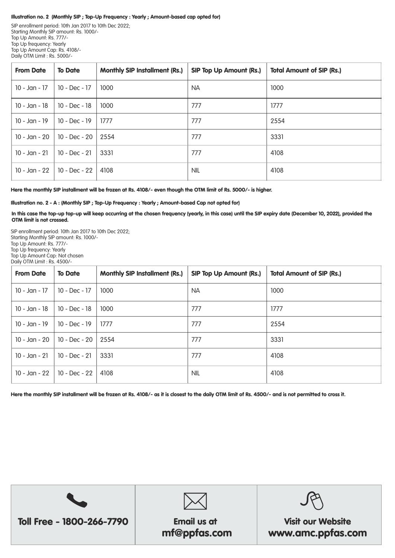#### Illustration no. 2 (Monthly SIP ; Top-Up Frequency : Yearly ; Amount-based cap opted for)

SIP enrollment period: 10th Jan 2017 to 10th Dec 2022; Starting Monthly SIP amount: Rs. 1000/- Top Up Amount: Rs. 777/- Top Up frequency: Yearly Top Up Amount Cap: Rs. 4108/- Daily OTM Limit : Rs. 5000/-

| <b>From Date</b> | <b>To Date</b>  | <b>Monthly SIP Installment (Rs.)</b> | <b>SIP Top Up Amount (Rs.)</b> | <b>Total Amount of SIP (Rs.)</b> |
|------------------|-----------------|--------------------------------------|--------------------------------|----------------------------------|
| 10 - Jan - 17    | 10 - Dec - 17   | 1000                                 | <b>NA</b>                      | 1000                             |
| 10 - Jan - 18    | 10 - Dec - 18   | 1000                                 | 777                            | 1777                             |
| 10 - Jan - 19    | $10 - Dec - 19$ | 1777                                 | 777                            | 2554                             |
| 10 - Jan - 20    | 10 - Dec - 20   | 2554                                 | 777                            | 3331                             |
| $10 - Jan - 21$  | 10 - Dec - 21   | 3331                                 | 777                            | 4108                             |
| 10 - Jan - 22    | 10 - Dec - 22   | 4108                                 | <b>NIL</b>                     | 4108                             |

Here the monthly SIP installment will be frozen at Rs. 4108/- even though the OTM limit of Rs. 5000/- is higher.

Illustration no. 2 - A : (Monthly SIP ; Top-Up Frequency : Yearly ; Amount-based Cap not opted for)

In this case the top-up top-up will keep occurring at the chosen frequency (yearly, in this case) until the SIP expiry date (December 10, 2022), provided the OTM limit is not crossed.

SIP enrollment period: 10th Jan 2017 to 10th Dec 2022; Starting Monthly SIP amount: Rs. 1000/- Top Up Amount: Rs. 777/- Top Up frequency: Yearly Top Up Amount Cap: Not chosen Daily OTM Limit : Rs. 4500/-

| <b>From Date</b> | <b>To Date</b>  | <b>Monthly SIP Installment (Rs.)</b> | <b>SIP Top Up Amount (Rs.)</b> | <b>Total Amount of SIP (Rs.)</b> |
|------------------|-----------------|--------------------------------------|--------------------------------|----------------------------------|
| 10 - Jan - 17    | 10 - Dec - 17   | 1000                                 | <b>NA</b>                      | 1000                             |
| $10 - Jan - 18$  | $10 - Dec - 18$ | 1000                                 | 777                            | 1777                             |
| $10 - Jan - 19$  | $10 - Dec - 19$ | 1777                                 | 777                            | 2554                             |
| 10 - Jan - 20    | 10 - Dec - 20   | 2554                                 | 777                            | 3331                             |
| $10 - Jan - 21$  | $10 - Dec - 21$ | 3331                                 | 777                            | 4108                             |
| 10 - Jan - 22    | 10 - Dec - 22   | 4108                                 | <b>NIL</b>                     | 4108                             |

Here the monthly SIP installment will be frozen at Rs. 4108/- as it is closest to the daily OTM limit of Rs. 4500/- and is not permitted to cross it.